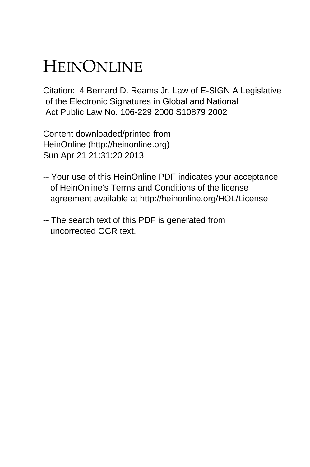# HEINONLINE

Citation: 4 Bernard D. Reams Jr. Law of E-SIGN A Legislative of the Electronic Signatures in Global and National Act Public Law No. 106-229 2000 S10879 2002

Content downloaded/printed from HeinOnline (http://heinonline.org) Sun Apr 21 21:31:20 2013

- -- Your use of this HeinOnline PDF indicates your acceptance of HeinOnline's Terms and Conditions of the license agreement available at http://heinonline.org/HOL/License
- -- The search text of this PDF is generated from uncorrected OCR text.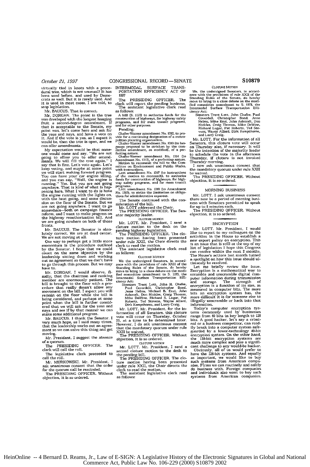virtually tied in knots with a proce-<br>dural tree, which is not unusual? It has<br>been used before, and used by Demo-<br>crets as wall. But it is rarely used. And crats as well. But it is rarely us it is used in most cases. I am told, to stop legislation.

Mr. BAUCUS. That is correct.

Mr. BAUCUS. That is correct.<br>
Mr. DORGAN. The point is the tree<br>
was developed with the longest hanging<br>
fruit a second-degree amendment. If<br>
that is acceptable to the Senate, my<br>
point was, let's come here and ask for<br>
wh point incurs i contained the year and have a vote on<br>it. And if the vote is yes, as I expect it<br>would be, then the tree is open, and we can offer amendments.

can one ansember and say. "We are not<br>one would come and say. "We are not<br>going to allow you to offer amend-<br>ments. We will fill the tree again." ments. We will fill the tree again." I fill the scape that is fine. Let's vere again. Let's keep voting, and maybe at some point we will start making forward progress.<br>You can have your car engine idling, and you can have anywhere. That is known that is have<br>pening here. What I want to do is have<br>the engine running with the lights on,<br>with the heat going, and some discus-<br>sion on the floor of the Senate. But we sion of the front of the senate. Lat we<br>are not going anywhere. I want to go<br>somewhere—both on campaign finance<br>reform, and I want to make progress on<br>the highway reauthorization bill. And we are going nowhere on both of those fronts.

Mr. BAUCUS. The Senator is absolutely correct. We are at dead center.<br>We are not moving at all.

One way to perhaps get a little more momentum is the procedure outlined<br>by the Senator. I hope that we could count on the same objective by the<br>leadership sitting down and working ,<br>rking out an agreement so that we don't have to go through this process. But we may have to.

Mr. DORGAN. I would observe mally, that the chairman and ranking<br>member are enormously patient. The<br>bill is brought to the floor with a procedure that really doesn't allow any movement on the bill. I expect you will remain on the floor while the bill is<br>being considered, and perhaps at some<br>point when the bill is further consideven the bit is further considered that we will ask for the yeas and nays and see if by that manner we can make some additional progress

Mr. BAUCUS. I thank the Senator. I very much hope, as I said many times, that the leadership works out an agreement so we can solve this thing and get moving.

Mr. President, I suggest the absence of a quorum.

The PRESIDING OFFICER. The clerk will call the roll.

The legislative clerk proceeded to call the roll.

Mr. MURKOWSKI. Mr. President. ask unanimous consent that the order for the quorum call be rescinded.

The PRESIDING OFFICER. Without objection, it is so ordered.

NTERMODAL SURFACE TRANSPORTATION EFFICIENCY ACT OF **INTERMODAL** 

The PRESIDING OFFICER, The<br>clerk will report the pending business.<br>The assistant legislative clerk read as follows:

as Ionows:<br>
A bill (S. 1173) to authorize funds for the<br>
construction of highways, for highway safety<br>
programs, and for other purposes.

Pending:

Fertually, Calculate Warner amendment No. 1312, to provide for a continuing designation of a metro-<br>polition planning organization.<br>Chafee-Warner amendment No. 1313 (to lan-<br>chafee-Warner amendment No. 1313 (to lan-<br>guage politan<br>Chafe fecting nature.<br>Chafee-Warner amendment No. 1314 (to

Since was net annexate value of the property and the community of a perfecting nature.<br>Motion to recommit the bill to the Com-<br>tree on Environment and Public Works, menoment<br>Motion to

interes on extractions.<br>
Lott amendment No. 1317 (to instructions<br>
of the motion to recommit), to authorize<br>
funds for construction of highways, for high-<br>
way safety programs, and for mass transit<br>
"
"
"
"
"
"
"
"
"
"
"
" programs.<br>Lott amendment No. 1318 (to Amendment

No. 1317), to strike the limitation on obligations for administrative expenses.

The Senate continued with the con-<br>ideration of the bill.<br>Mr. LOTT addressed the Chair.<br>The PRESIDING OFFICER. The Senator majority leader.

CLOTURE MOTION<br>Mr. LOTT. Mr. President, I send a column response to the desk on the<br>pending highway legislation.<br>The PRESIDING OFFICER. The clo-

time including of the time and<br>ture motion having been presented<br>under rule XXII, the Chair directs the

clerk to read the motion.<br>The assistant legislative clerk read as follows:

CLOTURE MOTION

We the undersigned Senators, in accordance with the provisions of rule XXII of the Standing Rules of the Senate, do hereby move to bring to a close debate on the modified committee amendment to S. 1173, the Intermodal Surface Transportation Efficiency Act:<br>Senator

y Act:<br>
and Coverdell, China H. Chafee,<br>
Paul Coverdell, Christopher Bond,<br>
Jesse Helms, Michael B. Enzi, John<br>
Asheroft, Don Nickles, Craig Thomas,<br>
Mike DeWine, Richard S. Lugar, Part,<br>
Roberts, Ted Stevens, Wayne Allard

Mr. LOTT. Mr. President, for the information of all Senators, this cloture Formation of the will occur on Thursday, October<br>23, at a time to be determined later.<br>However, I do ask unanimous consent that the mandatory quorum under rule XXII be waived.<br>The PRESIDING OFFICER, Without

objection, it is so ordered

CLOTURE MOTION

Mr. LOTT. Mr. President, I send a second cloture motion to the desk to<br>the pending bill.<br>The PRESIDING OFFICER. The clo-

ture motion having been presented<br>under rule XXII, the Chair directs the clerk to read the motion.<br>The assistant legislative clerk read

as follows:

**CLOTURE MOTION** 

We, the undersigned Senators, in accord-<br>ance with the provisions of rule XXII of the Senators of the Senators of the Senator Standing Rules of the Senate on the modify<br>fed committee amendment to S. 1173, the<br>Intermodel Su tev Act:

y Act:<br>
Archeon Trent Lott, John Chafee, Paul<br>
Coverdell, Christopher Bond, Jesse<br>
Helms, Mike Enzi, John Ashcroft, Don<br>
Nickles, Craig Thomas, Mike DeWine,<br>
Richard Lugar, Pat Roberts, Ted Ste-<br>
vens, Wayne Allard, Dirk R and Larry Craig.

Mr. LOTT. For the information of all Senators, this cloture vote will Senators, this cotter vote with occur<br>on Thursday also, if necessary. It will<br>be the intention of the majority leader<br>to schedule the vote in the afternoon<br>Thursday, if cloture is not invoked<br>Thursday morning.<br>Thus all now

the mandatory quorum under rule XXII be waived.<br>The PRESIDING OFFICER. Without

objection, it is so ordered.

## MORNING BUSINESS

Mr. LOTT. I ask unanimous consent there now be a period of morning business with Senators permitted to speak

for up to 5 minutes each.<br>The PRESIDING OFFICER. Without objection, it is so ordered.

#### **ENCRYPTION**

Mr. LOTT. Mr. President, I would like to report to my colleagues on the<br>activities in the House to establish a activities in the rouse to estational a<br>rew export policy on encryption. This<br>is an issue that is still at the top of my<br>list of legislation I hope this Congress<br>can resolve within the next 2 months.<br>The House's actions la a spotlight on how this issue should ul-<br>timately be resolved.

Let me briefly review the issue. Encryption is a mathematical way to<br>scramble and unscramble digital comcommon one information during transmission<br>puter information during transmission<br>and storage. The strength of<br>encryption is a function of its size, as measured in computer bits. The me bits an encryption system has, the<br>more difficult it is for someone else to<br>illegally unscramble or hack into that prmation.

Today's computer encryption sys-Figure commonly used by businesses<br>range from 40 bits in key length to 128<br>bits. A good hacker, let's say a crimi-<br>nal or a business competitor, can readily break into a computer system safeily break into a computer system safe-<br>guarded by a lower-technology 40-bit<br>encryption system. On the other hand,<br>the 128-bit encryption systems are<br>much more complex and pose a significant<br>change to any would-be hacker.<br>

nies. Firms we can routinely and safely<br>do business with. Foreign companies and individuals also want to buy such<br>systems from American companies.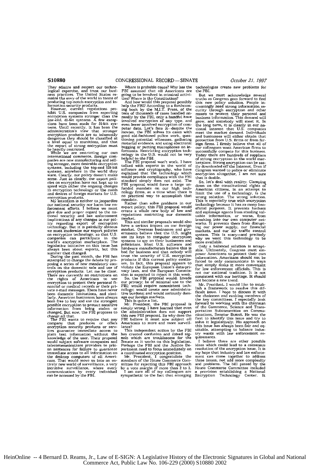logical expertise, and trust our busi-FBI assumed that all Americans are<br>ness practices. The United States re- going to be involved in criminal activi-<br>mains the envy of the world in terms of ties? Where is the Constitutio

encryption systems stronger than the mually by the FBI, only a handful have<br>neutryption systems. A few excep- involved encryption of any type, and<br>low-end, 40-bit systems. A few excep- involved encryption of onry type, and dangerous they should be classified at fioning potential witnesses, gathering a level equal to munitions, and that material evidence, **and** using electronic the export **of** strong encryption must bugging or putting microphones on in-

international commerce, foreign com-<br>mology in the U.S. would not be very<br>panies are now manufacturing and sell. helpful to the FBI.<br>ing stronger, more desirable encryption The FBI proposal won't work. I have<br>systems, incl would provide compliance with the FBI<br>genee Just as clearly, our export poli-<br>would provide compliance with the FBI<br>genee with either the ongoing changes and would force a large un-<br>pred with either the ongoing changes fun First some case of the section have not kept up to<br>speed with either the ongoing changes<br>in encryption technology or the needs<br>and desires of foreign markets for U.S.

encryption products.<br>My intention is neither to jeopardize our national security nor harm law en- Rather than solve problems in our forcement efforts. I believe we must give due and proper regard to the na- create a whole new body of law and tional security and law enforcement regulations restricting cur domestic Implications of any changes in our p0l- market. Implexations on an time and the This and similar proposals would also<br>technology. But it is painfully obvious have a serious impact on our foreign<br>we must modernize our export policies market. Overseas businesses, and gov-We must modernize our export policies<br>on encryption technology, so that U.S. might<br>companies can participate in the use its keys to computer encryption legislative initiative on this issue has politicians. Most U.S. software and always been about exports, but this hardware manufacturers believe this is

summer that changed.<br>During the past month, the FBI has attempted to change the debate by pro-Lattermeted to change the debate by pro-<br>products if this current policy contin-<br>posing a series of new mandatory con-<br>tes. In fact, this proposal appears to<br>trols on the domestic sale and use of vlokate the European Union Christophe are currently no restrictions on sion is expected to reject it this week.<br>There are currently no restrictions on sion is expected to reject it this week.<br>the rights of Americans to use So, the FBI proposal would National measure in the businesses have a denoted in the burdens; and would seriously daminary. American businesses have always age our foreign markets.<br>Been free to buy and use the strongest This is quite a list.<br>the Fig. may, mention was been due to the strongest. This is quite a list.<br>possible encryption to protect sensitive Mr. President, the FBI proposal is<br>information from being stolen or simply wrong. I have learned that ever<br>changed,

company that produces or offers Americans to more and more surveil-<br>encryption security produces or server lanear the company that produces or server lanes and more surveil-<br>less guarantee immediate access to This independ Immediate access to all information on a coordinated encryption position.<br>The desktop computers of all Ameri-  $Mr$ . President. I congratulate the<br>cans. That would move us into an en- members of the House Commerce Comcans. That would move us into an en-<br>tirely new world of surveillance, a very example in the world of surveillance, a very mittee for rejecting this FBI approach<br>intrusive surveillance, where every by a vote margin of more than 2 to 1<br>communication by every individual 1 am sure all of my colleagues

They admire **and** respect **our** techno- Where is probable cause? **Why** has the

producing top-notch encryption and in-<br>
And how would this proposal possibly<br>
formation security products.<br>
Thowever, current regulations pro-<br>
ing book by the M.I.T. Press, of the<br>
However, current regulations pro-<br>
ing b And how would this proposal possibly<br>help the FBI? According to a forthcom-<br>tens of thousands of cases handled an-<br>mually by the NLT. Press, of the analy by the FEI, only a handled have<br>involved encryption of any type, and be heavily of putting microphones on informants. Restricting encryption tech-nology in the U.S. would not be very

no practical way to accomplish that mandate.

use its keys to computer encryption<br>systems to spy on their businesses and<br>politicians. Most U.S. software and bad for business and that nobody will<br>trust the security of U.S. encryption

change all that. this new FBI proposal. So why does the The FBI wants to require that any FBI believe **it** must now subject all

technologies create new problems for the FBI.

But we must acknowledge several truths as Congress goes forward to find this new policy solution. People in-creasingly need strung information security through encryption and other means **to** protect their personal and business information. This demand will grow, and somebody will meet it. In the long term, it is clearly in our national interest that **U.S.** companies meet the market demand- Individuals and businesses will either obtain that protection from U.S. firms **or** from for- eign firms. I firmly believe that all **of** our colleagues want American **firms** to successfully compete for this business. Today there are hundreds **of** suppliers of strong encryption in the world marily downloaded **off** the Internet. **Even** if Congress wanted to police or eliminate encryption altogether, I am not sure that is doable.

So, let's deal with reality. Clamping down on the constitutional rights of American citizens, in an attempt to limit the use **of** a technology, is the wrong solution. The wrong solution. This Is especially true with encryption technology because it has so many ben-<br>efficial purposes. It prevents hackers<br>and espionage agents from stealing val-<br>and espionage agents from stealing val-<br>unable information, or worse, from<br>breaking into our own compute ing our power supply, our financial markets, and our air traffic control system. This is scary-and precisely why we want this technology to be more available.

Only a balanced solution is acceptable. Ultimately, Congress must em-<br>power Americans to protect their own information. Americans should not be forced to only communicate in ways that simply make it more convenient for law enforcement officials. This is not our national tradition. It is not consistent with **our** heritage. It should **not** become a new trend.

Mr. President, I would like to estab- lish a framework to resolve this **dif**ficult issue. I hope to discuss it with the chairmen and ranking members of the key committees. I especially look forward to working with the chairman of the Commerce, Science and Transportation Subcommittee on Commu-<br>nications, Senator BURNS. He was the first to identify this issue and try to solve it legislatively. His approach **on** this Issue has always been fair and equitable. attempting to balance indus-try wants with **law** enforcement re-quirements.

I believe there are other possible ideas which could lead to a consensus resolution of the encryption issue. It is rospuesare an energy and law enforce-<br>ment can come together to address<br>these issues, not add more complexity<br>and problems. The bill passed by the<br>House Commerce Committee included<br>House Commerce Committee included<br>a provi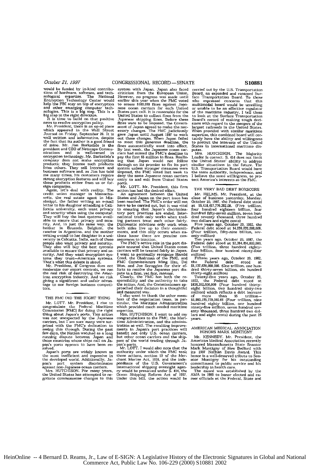would be funded by in-kind contribu-<br>tions of hardware, software, and tech-<br>nological expertise. The National nological experise. The National<br>Encryption Technology Center would<br>help the FBI stay on top detervyition<br>and other emerging computer technologies. This is a big step. This is<br>indicated in the right direction.<br>It is time t

which appeared in the Wall Street<br>Journal on Friday, September 26. It is<br>well written and informative, despite<br>the fact that its author is a good friend of mine. Mr. Jim Barksdale Is the president and CEO of Netscape Commu- nications and Is well-versed in encryption technology. Mr. Barksdale's company does not make encryption products: they license such products from others. They sell Internet and business software and, as Jim has told me many times, his customers require strong encryption features **and** will buy those products either from us or foreign companies.<br>Again, let's deal with reality, The<br>Again, let's deal with reality, The<br>credit union manager in Massachu-

setts, the real estate agent in Mis- sissippi. the father writing an e-mail letter to his daughter attending a Call-fornia university, each coant privacy and security when using the computer. They will buy the best systems avail-<br>able to ensure that privacy and secu-<br>rity. And. in just the same way. the<br>banker in Brussels. Belgium. the rancher in Argentina. and the mother writing e-mail to her daughter in a university in Calcutta, India, each of these people also want privacy and security. They also will buy the best systems available to ensure that privacy and se- curity. And they want encryption sys-

tems they trust-American systems.<br>That's what this debate is about.<br>That's what this debate is about.<br>In . President, if Congress does not<br>modernize our export controls, we runner<br>the real risk of destroying the American<br>e

### THE FMC **DID** THE RIGHT THING

*Mr,* **LOTT.** Mr. President, I rise to congratulate the Federal Maritime Commission [FMC] for doing the right<br>thing about Japan's ports. This action was not unexpected by the Japanese carriers, but I am sure many were sur-<br>prised with the FMC's dedication to<br>seeing this through. During the past ferious water and the During the past<br>seeing this through. During the past<br>few days, the Nation watched as a long running dispute between Japan and those countries whose ships call on Japan's ports appears to have been re-<br>solved.

Japan's ports are widely known as the most inefficient and expensive in the developed world. Additionally, Ja-<br>pan's port system discriminates pan's port system discriminates<br>against\_non-Japanese\_ocean\_carriers.<br>Mrs. HUTCHISON. For\_many\_years.

the United States has attempted to ne- gotiate commonsense changes to this

system with Japan. Japan also faced carried out by the U.S. Transportation from the European Union. Board, an expaned and renamed Surfney in However, no progress was made until face Transportation Board. To those earlier ment of Japan agreed to make the nec-largest railroads in the United States.<br>
essay changes The FMC judiciously When provided with similar martial parameters are provided to make the nec-<br>
gave Japan until August 1997 to w By last week, the Japanese ocean car-<br>putes. HUTCHISON. The Majority rises had missed the FMC's deadline to<br>the first SHIICON. The Majority pay the first S5 million in fines. Realize. Leader is correct. S. 414 does not li

Mr. LOTT. Mr. President, this firm THE VERY BAD DEBT BOXSCORE

An agreement between the United Mr. HELMS. Mr. President, at the States and Japan on the port issue of business yesterday, Monday base are neached. The PMC is order will not October 20, 1997, the Federal debt stood have t

ing partners treat each other fairly. two dollars and eight cents<br>ing partners treat each other fairly. two dollars and eight cents)<br>both sides live up to their commit. Federal debt stood at \$4,059,070,000,000.<br>both sides

time Administration, and the adminis- tration as well. The resulting improveraction as well. In resulting improve-<br>ments in Japan's port practices will AMERICAN MEDICAL ASSOCIATION<br>benefit not only U.S. ocean carriers, HONORS MARK MONTIGNY

but other ocean carriers and the single. Mr. KENNEDY. Mr. President, the pers of the world trading through Ja. American Medical Association recently on parts parts of the Mark Montigray of New Bedford with the TOT. I would

prosecue transmit determines and measured way.<br>
and measured way. This may be included the state in the solution of the mean of more than  $\mathbf{S}$  is trillion-<br>
I also want to thank the other mem-<br>
of more than SS trillio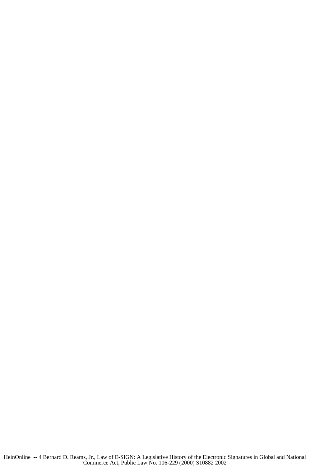HeinOnline -- 4 Bernard D. Reams, Jr., Law of E-SIGN: A Legislative History of the Electronic Signatures in Global and National Commerce Act, Public Law No. 106-229 (2000) S10882 2002